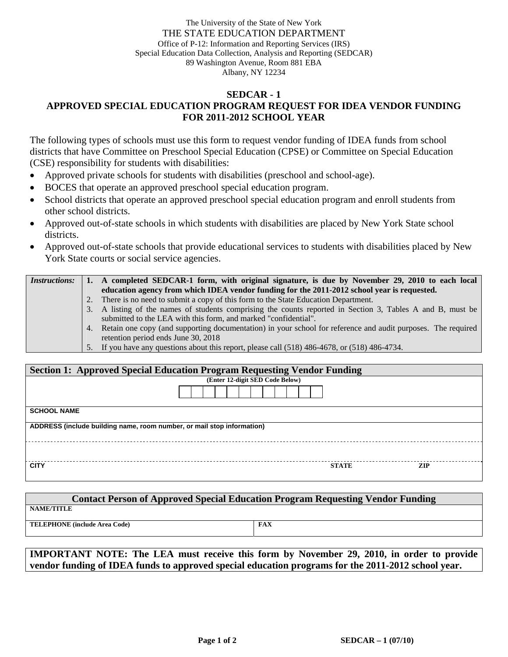The University of the State of New York THE STATE EDUCATION DEPARTMENT Office of P-12: Information and Reporting Services (IRS) Special Education Data Collection, Analysis and Reporting (SEDCAR) 89 Washington Avenue, Room 881 EBA Albany, NY 12234

## **SEDCAR - 1 APPROVED SPECIAL EDUCATION PROGRAM REQUEST FOR IDEA VENDOR FUNDING FOR 2011-2012 SCHOOL YEAR**

The following types of schools must use this form to request vendor funding of IDEA funds from school districts that have Committee on Preschool Special Education (CPSE) or Committee on Special Education (CSE) responsibility for students with disabilities:

- Approved private schools for students with disabilities (preschool and school-age).
- BOCES that operate an approved preschool special education program.
- School districts that operate an approved preschool special education program and enroll students from other school districts.
- Approved out-of-state schools in which students with disabilities are placed by New York State school districts.
- Approved out-of-state schools that provide educational services to students with disabilities placed by New York State courts or social service agencies.

| <i>Instructions:</i> |    | A completed SEDCAR-1 form, with original signature, is due by November 29, 2010 to each local                   |  |  |  |
|----------------------|----|-----------------------------------------------------------------------------------------------------------------|--|--|--|
|                      |    | education agency from which IDEA vendor funding for the 2011-2012 school year is requested.                     |  |  |  |
|                      | 2. | There is no need to submit a copy of this form to the State Education Department.                               |  |  |  |
|                      |    | 3. A listing of the names of students comprising the counts reported in Section 3, Tables A and B, must be      |  |  |  |
|                      |    | submitted to the LEA with this form, and marked "confidential".                                                 |  |  |  |
|                      |    | 4. Retain one copy (and supporting documentation) in your school for reference and audit purposes. The required |  |  |  |
|                      |    | retention period ends June 30, 2018                                                                             |  |  |  |
|                      |    | 5. If you have any questions about this report, please call (518) 486-4678, or (518) 486-4734.                  |  |  |  |

| <b>Section 1: Approved Special Education Program Requesting Vendor Funding</b> |                                 |              |            |  |  |  |  |  |
|--------------------------------------------------------------------------------|---------------------------------|--------------|------------|--|--|--|--|--|
|                                                                                | (Enter 12-digit SED Code Below) |              |            |  |  |  |  |  |
|                                                                                |                                 |              |            |  |  |  |  |  |
| <b>SCHOOL NAME</b>                                                             |                                 |              |            |  |  |  |  |  |
| ADDRESS (include building name, room number, or mail stop information)         |                                 |              |            |  |  |  |  |  |
|                                                                                |                                 |              |            |  |  |  |  |  |
| <b>CITY</b>                                                                    |                                 | <b>STATE</b> | <b>ZIP</b> |  |  |  |  |  |

| <b>Contact Person of Approved Special Education Program Requesting Vendor Funding</b> |     |  |  |  |  |  |  |
|---------------------------------------------------------------------------------------|-----|--|--|--|--|--|--|
| <b>NAME/TITLE</b>                                                                     |     |  |  |  |  |  |  |
| <b>TELEPHONE</b> (include Area Code)                                                  | FAX |  |  |  |  |  |  |

**IMPORTANT NOTE: The LEA must receive this form by November 29, 2010, in order to provide vendor funding of IDEA funds to approved special education programs for the 2011-2012 school year.**